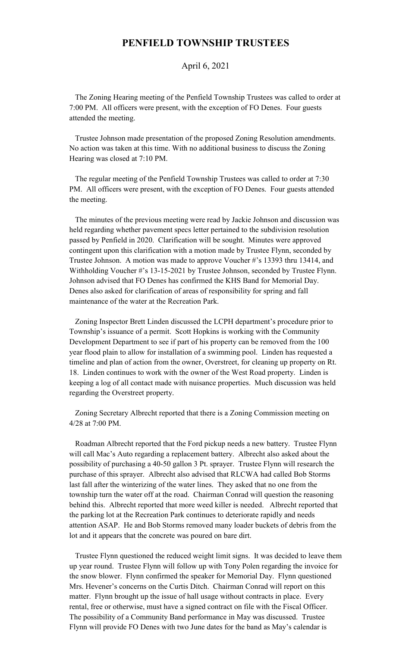## **PENFIELD TOWNSHIP TRUSTEES**

## April 6, 2021

 The Zoning Hearing meeting of the Penfield Township Trustees was called to order at 7:00 PM. All officers were present, with the exception of FO Denes. Four guests attended the meeting.

 Trustee Johnson made presentation of the proposed Zoning Resolution amendments. No action was taken at this time. With no additional business to discuss the Zoning Hearing was closed at 7:10 PM.

 The regular meeting of the Penfield Township Trustees was called to order at 7:30 PM. All officers were present, with the exception of FO Denes. Four guests attended the meeting.

 The minutes of the previous meeting were read by Jackie Johnson and discussion was held regarding whether pavement specs letter pertained to the subdivision resolution passed by Penfield in 2020. Clarification will be sought. Minutes were approved contingent upon this clarification with a motion made by Trustee Flynn, seconded by Trustee Johnson. A motion was made to approve Voucher #'s 13393 thru 13414, and Withholding Voucher #'s 13-15-2021 by Trustee Johnson, seconded by Trustee Flynn. Johnson advised that FO Denes has confirmed the KHS Band for Memorial Day. Denes also asked for clarification of areas of responsibility for spring and fall maintenance of the water at the Recreation Park.

 Zoning Inspector Brett Linden discussed the LCPH department's procedure prior to Township's issuance of a permit. Scott Hopkins is working with the Community Development Department to see if part of his property can be removed from the 100 year flood plain to allow for installation of a swimming pool. Linden has requested a timeline and plan of action from the owner, Overstreet, for cleaning up property on Rt. 18. Linden continues to work with the owner of the West Road property. Linden is keeping a log of all contact made with nuisance properties. Much discussion was held regarding the Overstreet property.

 Zoning Secretary Albrecht reported that there is a Zoning Commission meeting on 4/28 at 7:00 PM.

 Roadman Albrecht reported that the Ford pickup needs a new battery. Trustee Flynn will call Mac's Auto regarding a replacement battery. Albrecht also asked about the possibility of purchasing a 40-50 gallon 3 Pt. sprayer. Trustee Flynn will research the purchase of this sprayer. Albrecht also advised that RLCWA had called Bob Storms last fall after the winterizing of the water lines. They asked that no one from the township turn the water off at the road. Chairman Conrad will question the reasoning behind this. Albrecht reported that more weed killer is needed. Albrecht reported that the parking lot at the Recreation Park continues to deteriorate rapidly and needs attention ASAP. He and Bob Storms removed many loader buckets of debris from the lot and it appears that the concrete was poured on bare dirt.

 Trustee Flynn questioned the reduced weight limit signs. It was decided to leave them up year round. Trustee Flynn will follow up with Tony Polen regarding the invoice for the snow blower. Flynn confirmed the speaker for Memorial Day. Flynn questioned Mrs. Hevener's concerns on the Curtis Ditch. Chairman Conrad will report on this matter. Flynn brought up the issue of hall usage without contracts in place. Every rental, free or otherwise, must have a signed contract on file with the Fiscal Officer. The possibility of a Community Band performance in May was discussed. Trustee Flynn will provide FO Denes with two June dates for the band as May's calendar is